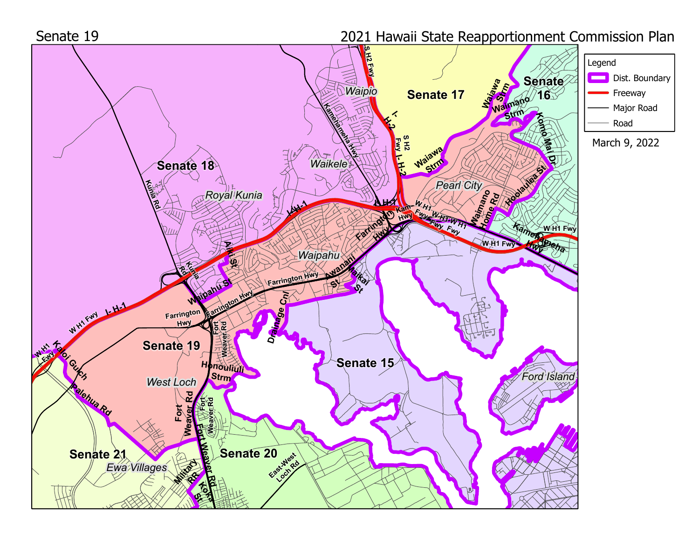